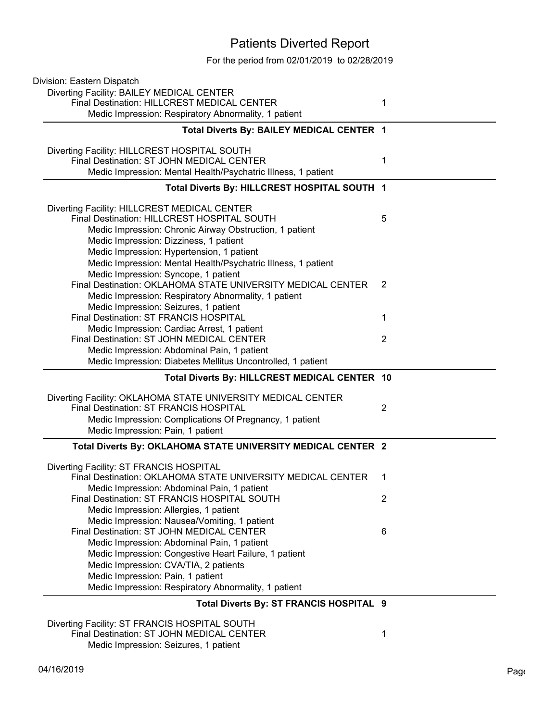## Patients Diverted Report

For the period from 02/01/2019 to 02/28/2019

| Division: Eastern Dispatch                                                                |   |
|-------------------------------------------------------------------------------------------|---|
| Diverting Facility: BAILEY MEDICAL CENTER                                                 |   |
| Final Destination: HILLCREST MEDICAL CENTER                                               | 1 |
| Medic Impression: Respiratory Abnormality, 1 patient                                      |   |
| Total Diverts By: BAILEY MEDICAL CENTER 1                                                 |   |
|                                                                                           |   |
| Diverting Facility: HILLCREST HOSPITAL SOUTH                                              |   |
| Final Destination: ST JOHN MEDICAL CENTER                                                 | 1 |
| Medic Impression: Mental Health/Psychatric Illness, 1 patient                             |   |
| Total Diverts By: HILLCREST HOSPITAL SOUTH 1                                              |   |
| Diverting Facility: HILLCREST MEDICAL CENTER                                              |   |
| Final Destination: HILLCREST HOSPITAL SOUTH                                               | 5 |
| Medic Impression: Chronic Airway Obstruction, 1 patient                                   |   |
| Medic Impression: Dizziness, 1 patient                                                    |   |
| Medic Impression: Hypertension, 1 patient                                                 |   |
| Medic Impression: Mental Health/Psychatric Illness, 1 patient                             |   |
| Medic Impression: Syncope, 1 patient                                                      |   |
| Final Destination: OKLAHOMA STATE UNIVERSITY MEDICAL CENTER                               | 2 |
| Medic Impression: Respiratory Abnormality, 1 patient                                      |   |
| Medic Impression: Seizures, 1 patient                                                     |   |
| Final Destination: ST FRANCIS HOSPITAL                                                    | 1 |
| Medic Impression: Cardiac Arrest, 1 patient                                               |   |
| Final Destination: ST JOHN MEDICAL CENTER                                                 | 2 |
| Medic Impression: Abdominal Pain, 1 patient                                               |   |
| Medic Impression: Diabetes Mellitus Uncontrolled, 1 patient                               |   |
| Total Diverts By: HILLCREST MEDICAL CENTER 10                                             |   |
| Diverting Facility: OKLAHOMA STATE UNIVERSITY MEDICAL CENTER                              |   |
| Final Destination: ST FRANCIS HOSPITAL                                                    | 2 |
| Medic Impression: Complications Of Pregnancy, 1 patient                                   |   |
| Medic Impression: Pain, 1 patient                                                         |   |
|                                                                                           |   |
| Total Diverts By: OKLAHOMA STATE UNIVERSITY MEDICAL CENTER 2                              |   |
|                                                                                           |   |
| Diverting Facility: ST FRANCIS HOSPITAL                                                   |   |
| Final Destination: OKLAHOMA STATE UNIVERSITY MEDICAL CENTER                               | 1 |
| Medic Impression: Abdominal Pain, 1 patient                                               | 2 |
| Final Destination: ST FRANCIS HOSPITAL SOUTH                                              |   |
| Medic Impression: Allergies, 1 patient                                                    |   |
| Medic Impression: Nausea/Vomiting, 1 patient<br>Final Destination: ST JOHN MEDICAL CENTER | 6 |
| Medic Impression: Abdominal Pain, 1 patient                                               |   |
| Medic Impression: Congestive Heart Failure, 1 patient                                     |   |
| Medic Impression: CVA/TIA, 2 patients                                                     |   |
| Medic Impression: Pain, 1 patient                                                         |   |
| Medic Impression: Respiratory Abnormality, 1 patient                                      |   |
| Total Diverts By: ST FRANCIS HOSPITAL 9                                                   |   |
| Diverting Facility: ST FRANCIS HOSPITAL SOUTH                                             |   |

Final Destination: ST JOHN MEDICAL CENTER 1

Medic Impression: Seizures, 1 patient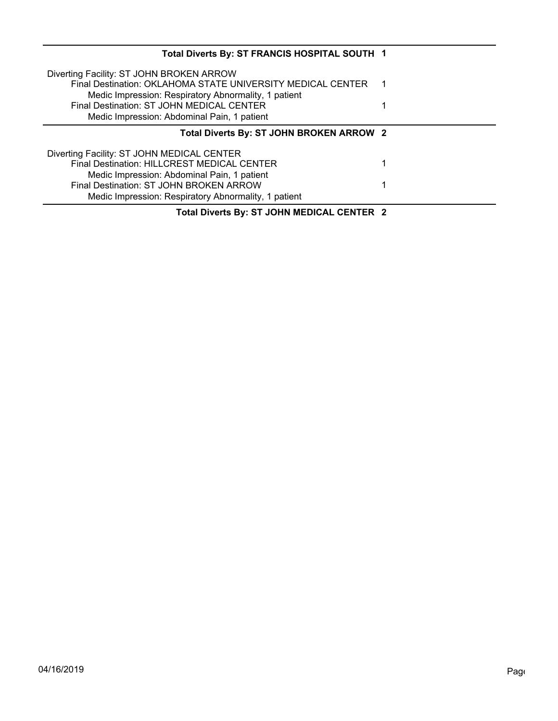| Total Diverts By: ST FRANCIS HOSPITAL SOUTH 1                                                    |   |
|--------------------------------------------------------------------------------------------------|---|
| Diverting Facility: ST JOHN BROKEN ARROW                                                         |   |
| Final Destination: OKLAHOMA STATE UNIVERSITY MEDICAL CENTER                                      | 1 |
| Medic Impression: Respiratory Abnormality, 1 patient                                             |   |
| Final Destination: ST JOHN MEDICAL CENTER                                                        |   |
| Medic Impression: Abdominal Pain, 1 patient                                                      |   |
| Total Diverts By: ST JOHN BROKEN ARROW 2                                                         |   |
|                                                                                                  |   |
|                                                                                                  |   |
| Diverting Facility: ST JOHN MEDICAL CENTER<br><b>Final Destination: HILLCREST MEDICAL CENTER</b> | 1 |
| Medic Impression: Abdominal Pain, 1 patient                                                      |   |
| Final Destination: ST JOHN BROKEN ARROW                                                          | 1 |
| Medic Impression: Respiratory Abnormality, 1 patient                                             |   |

**Total Diverts By: ST JOHN MEDICAL CENTER 2**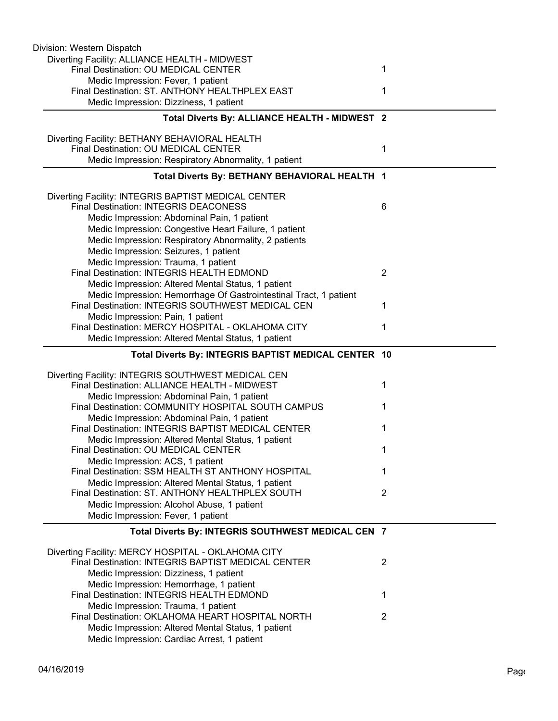| Division: Western Dispatch                                                                               |                |
|----------------------------------------------------------------------------------------------------------|----------------|
| Diverting Facility: ALLIANCE HEALTH - MIDWEST                                                            |                |
| Final Destination: OU MEDICAL CENTER                                                                     | 1              |
| Medic Impression: Fever, 1 patient                                                                       |                |
| Final Destination: ST. ANTHONY HEALTHPLEX EAST                                                           | 1              |
| Medic Impression: Dizziness, 1 patient                                                                   |                |
| Total Diverts By: ALLIANCE HEALTH - MIDWEST 2                                                            |                |
| Diverting Facility: BETHANY BEHAVIORAL HEALTH                                                            |                |
| Final Destination: OU MEDICAL CENTER                                                                     | 1              |
| Medic Impression: Respiratory Abnormality, 1 patient                                                     |                |
| Total Diverts By: BETHANY BEHAVIORAL HEALTH 1                                                            |                |
|                                                                                                          |                |
| Diverting Facility: INTEGRIS BAPTIST MEDICAL CENTER                                                      |                |
| <b>Final Destination: INTEGRIS DEACONESS</b>                                                             | 6              |
| Medic Impression: Abdominal Pain, 1 patient                                                              |                |
| Medic Impression: Congestive Heart Failure, 1 patient                                                    |                |
| Medic Impression: Respiratory Abnormality, 2 patients                                                    |                |
| Medic Impression: Seizures, 1 patient                                                                    |                |
| Medic Impression: Trauma, 1 patient<br>Final Destination: INTEGRIS HEALTH EDMOND                         | $\overline{2}$ |
| Medic Impression: Altered Mental Status, 1 patient                                                       |                |
| Medic Impression: Hemorrhage Of Gastrointestinal Tract, 1 patient                                        |                |
| Final Destination: INTEGRIS SOUTHWEST MEDICAL CEN                                                        | 1              |
| Medic Impression: Pain, 1 patient                                                                        |                |
| Final Destination: MERCY HOSPITAL - OKLAHOMA CITY                                                        | 1              |
| Medic Impression: Altered Mental Status, 1 patient                                                       |                |
|                                                                                                          |                |
|                                                                                                          |                |
| Total Diverts By: INTEGRIS BAPTIST MEDICAL CENTER 10                                                     |                |
| Diverting Facility: INTEGRIS SOUTHWEST MEDICAL CEN                                                       |                |
| Final Destination: ALLIANCE HEALTH - MIDWEST                                                             | 1              |
| Medic Impression: Abdominal Pain, 1 patient                                                              |                |
| Final Destination: COMMUNITY HOSPITAL SOUTH CAMPUS                                                       | 1              |
| Medic Impression: Abdominal Pain, 1 patient                                                              |                |
| Final Destination: INTEGRIS BAPTIST MEDICAL CENTER                                                       | 1              |
| Medic Impression: Altered Mental Status, 1 patient                                                       |                |
| Final Destination: OU MEDICAL CENTER                                                                     |                |
| Medic Impression: ACS, 1 patient                                                                         |                |
| Final Destination: SSM HEALTH ST ANTHONY HOSPITAL                                                        | 1              |
| Medic Impression: Altered Mental Status, 1 patient                                                       |                |
| Final Destination: ST. ANTHONY HEALTHPLEX SOUTH                                                          | $\overline{2}$ |
| Medic Impression: Alcohol Abuse, 1 patient                                                               |                |
| Medic Impression: Fever, 1 patient                                                                       |                |
| Total Diverts By: INTEGRIS SOUTHWEST MEDICAL CEN 7                                                       |                |
|                                                                                                          |                |
| Diverting Facility: MERCY HOSPITAL - OKLAHOMA CITY<br>Final Destination: INTEGRIS BAPTIST MEDICAL CENTER | 2              |
| Medic Impression: Dizziness, 1 patient                                                                   |                |
| Medic Impression: Hemorrhage, 1 patient                                                                  |                |
| Final Destination: INTEGRIS HEALTH EDMOND                                                                | 1              |
| Medic Impression: Trauma, 1 patient                                                                      |                |
| Final Destination: OKLAHOMA HEART HOSPITAL NORTH                                                         | $\overline{2}$ |
| Medic Impression: Altered Mental Status, 1 patient<br>Medic Impression: Cardiac Arrest, 1 patient        |                |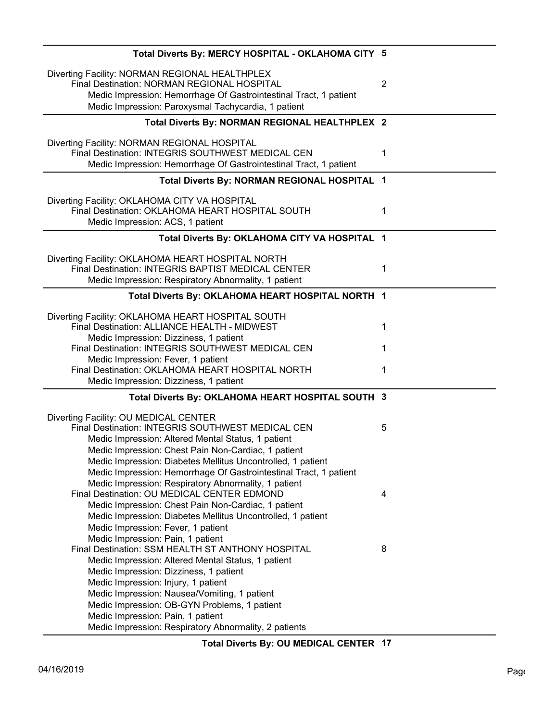| Total Diverts By: MERCY HOSPITAL - OKLAHOMA CITY 5                                                                                                                                                                                                                                                                                                                                                                          |                |
|-----------------------------------------------------------------------------------------------------------------------------------------------------------------------------------------------------------------------------------------------------------------------------------------------------------------------------------------------------------------------------------------------------------------------------|----------------|
| Diverting Facility: NORMAN REGIONAL HEALTHPLEX<br>Final Destination: NORMAN REGIONAL HOSPITAL<br>Medic Impression: Hemorrhage Of Gastrointestinal Tract, 1 patient<br>Medic Impression: Paroxysmal Tachycardia, 1 patient                                                                                                                                                                                                   | $\overline{2}$ |
| Total Diverts By: NORMAN REGIONAL HEALTHPLEX 2                                                                                                                                                                                                                                                                                                                                                                              |                |
| Diverting Facility: NORMAN REGIONAL HOSPITAL<br>Final Destination: INTEGRIS SOUTHWEST MEDICAL CEN<br>Medic Impression: Hemorrhage Of Gastrointestinal Tract, 1 patient                                                                                                                                                                                                                                                      | 1              |
| Total Diverts By: NORMAN REGIONAL HOSPITAL 1                                                                                                                                                                                                                                                                                                                                                                                |                |
| Diverting Facility: OKLAHOMA CITY VA HOSPITAL<br>Final Destination: OKLAHOMA HEART HOSPITAL SOUTH<br>Medic Impression: ACS, 1 patient                                                                                                                                                                                                                                                                                       | 1              |
| Total Diverts By: OKLAHOMA CITY VA HOSPITAL 1                                                                                                                                                                                                                                                                                                                                                                               |                |
| Diverting Facility: OKLAHOMA HEART HOSPITAL NORTH<br>Final Destination: INTEGRIS BAPTIST MEDICAL CENTER<br>Medic Impression: Respiratory Abnormality, 1 patient                                                                                                                                                                                                                                                             | 1              |
| Total Diverts By: OKLAHOMA HEART HOSPITAL NORTH 1                                                                                                                                                                                                                                                                                                                                                                           |                |
| Diverting Facility: OKLAHOMA HEART HOSPITAL SOUTH<br>Final Destination: ALLIANCE HEALTH - MIDWEST<br>Medic Impression: Dizziness, 1 patient                                                                                                                                                                                                                                                                                 | 1              |
| Final Destination: INTEGRIS SOUTHWEST MEDICAL CEN                                                                                                                                                                                                                                                                                                                                                                           | 1              |
| Medic Impression: Fever, 1 patient<br>Final Destination: OKLAHOMA HEART HOSPITAL NORTH<br>Medic Impression: Dizziness, 1 patient                                                                                                                                                                                                                                                                                            | 1              |
| Total Diverts By: OKLAHOMA HEART HOSPITAL SOUTH 3                                                                                                                                                                                                                                                                                                                                                                           |                |
| Diverting Facility: OU MEDICAL CENTER<br>Final Destination: INTEGRIS SOUTHWEST MEDICAL CEN<br>Medic Impression: Altered Mental Status, 1 patient<br>Medic Impression: Chest Pain Non-Cardiac, 1 patient                                                                                                                                                                                                                     | 5              |
| Medic Impression: Diabetes Mellitus Uncontrolled, 1 patient<br>Medic Impression: Hemorrhage Of Gastrointestinal Tract, 1 patient<br>Medic Impression: Respiratory Abnormality, 1 patient<br>Final Destination: OU MEDICAL CENTER EDMOND                                                                                                                                                                                     | 4              |
| Medic Impression: Chest Pain Non-Cardiac, 1 patient<br>Medic Impression: Diabetes Mellitus Uncontrolled, 1 patient<br>Medic Impression: Fever, 1 patient                                                                                                                                                                                                                                                                    |                |
| Medic Impression: Pain, 1 patient<br>Final Destination: SSM HEALTH ST ANTHONY HOSPITAL<br>Medic Impression: Altered Mental Status, 1 patient<br>Medic Impression: Dizziness, 1 patient<br>Medic Impression: Injury, 1 patient<br>Medic Impression: Nausea/Vomiting, 1 patient<br>Medic Impression: OB-GYN Problems, 1 patient<br>Medic Impression: Pain, 1 patient<br>Medic Impression: Respiratory Abnormality, 2 patients | 8              |

**Total Diverts By: OU MEDICAL CENTER 17**